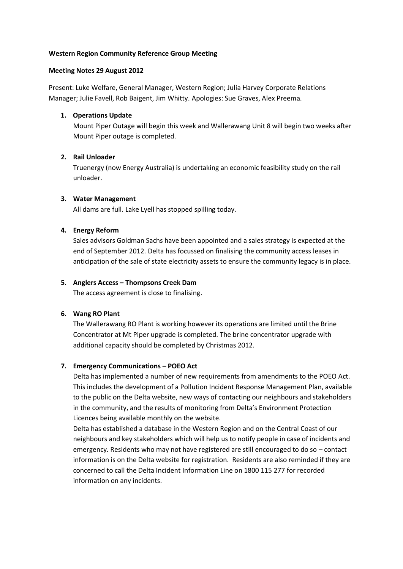# **Western Region Community Reference Group Meeting**

# **Meeting Notes 29 August 2012**

Present: Luke Welfare, General Manager, Western Region; Julia Harvey Corporate Relations Manager; Julie Favell, Rob Baigent, Jim Whitty. Apologies: Sue Graves, Alex Preema.

# **1. Operations Update**

Mount Piper Outage will begin this week and Wallerawang Unit 8 will begin two weeks after Mount Piper outage is completed.

# **2. Rail Unloader**

Truenergy (now Energy Australia) is undertaking an economic feasibility study on the rail unloader.

### **3. Water Management**

All dams are full. Lake Lyell has stopped spilling today.

# **4. Energy Reform**

Sales advisors Goldman Sachs have been appointed and a sales strategy is expected at the end of September 2012. Delta has focussed on finalising the community access leases in anticipation of the sale of state electricity assets to ensure the community legacy is in place.

## **5. Anglers Access – Thompsons Creek Dam**

The access agreement is close to finalising.

# **6. Wang RO Plant**

The Wallerawang RO Plant is working however its operations are limited until the Brine Concentrator at Mt Piper upgrade is completed. The brine concentrator upgrade with additional capacity should be completed by Christmas 2012.

# **7. Emergency Communications – POEO Act**

Delta has implemented a number of new requirements from amendments to the POEO Act. This includes the development of a Pollution Incident Response Management Plan, available to the public on the Delta website, new ways of contacting our neighbours and stakeholders in the community, and the results of monitoring from Delta's Environment Protection Licences being available monthly on the website.

Delta has established a database in the Western Region and on the Central Coast of our neighbours and key stakeholders which will help us to notify people in case of incidents and emergency. Residents who may not have registered are still encouraged to do so – contact information is on the Delta website for registration. Residents are also reminded if they are concerned to call the Delta Incident Information Line on 1800 115 277 for recorded information on any incidents.